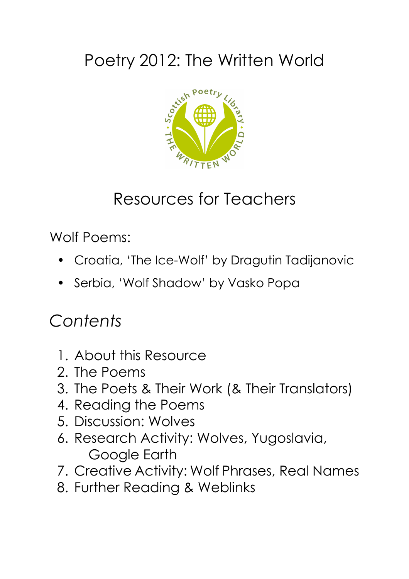# Poetry 2012: The Written World



## Resources for Teachers

Wolf Poems:

- Croatia, 'The Ice-Wolf' by Dragutin Tadijanovic
- Serbia, 'Wolf Shadow' by Vasko Popa

### *Contents*

- 1. About this Resource
- 2. The Poems
- 3. The Poets & Their Work (& Their Translators)
- 4. Reading the Poems
- 5. Discussion: Wolves
- 6. Research Activity: Wolves, Yugoslavia, Google Earth
- 7. Creative Activity: Wolf Phrases, Real Names
- 8. Further Reading & Weblinks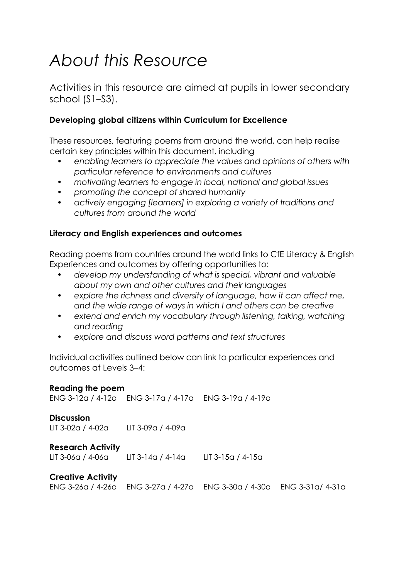## *About this Resource*

Activities in this resource are aimed at pupils in lower secondary school (S1–S3).

#### **Developing global citizens within Curriculum for Excellence**

These resources, featuring poems from around the world, can help realise certain key principles within this document, including

- *• enabling learners to appreciate the values and opinions of others with particular reference to environments and cultures*
- *• motivating learners to engage in local, national and global issues*
- *• promoting the concept of shared humanity*
- *• actively engaging [learners] in exploring a variety of traditions and cultures from around the world*

#### **Literacy and English experiences and outcomes**

Reading poems from countries around the world links to CfE Literacy & English Experiences and outcomes by offering opportunities to:

- *• develop my understanding of what is special, vibrant and valuable about my own and other cultures and their languages*
- *• explore the richness and diversity of language, how it can affect me, and the wide range of ways in which I and others can be creative*
- *• extend and enrich my vocabulary through listening, talking, watching and reading*
- *• explore and discuss word patterns and text structures*

Individual activities outlined below can link to particular experiences and outcomes at Levels 3–4:

| <b>Reading the poem</b>                |                                                       |                                                                         |  |
|----------------------------------------|-------------------------------------------------------|-------------------------------------------------------------------------|--|
|                                        | ENG 3-12a / 4-12a ENG 3-17a / 4-17a ENG 3-19a / 4-19a |                                                                         |  |
| <b>Discussion</b><br>LIT 3-02a / 4-02a | LIT 3-09a / 4-09a                                     |                                                                         |  |
| <b>Research Activity</b>               | LIT 3-06a / 4-06a LIT 3-14a / 4-14a LIT 3-15a / 4-15a |                                                                         |  |
| <b>Creative Activity</b>               |                                                       | ENG 3-26a / 4-26a ENG 3-27a / 4-27a ENG 3-30a / 4-30a ENG 3-31a / 4-31a |  |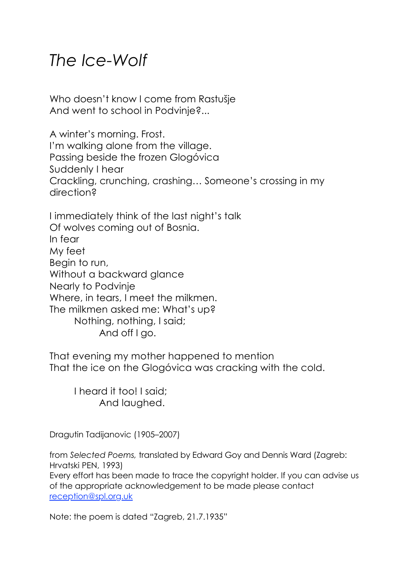#### *The Ice-Wolf*

Who doesn't know I come from Rastušje And went to school in Podvinje?...

A winter's morning. Frost. I'm walking alone from the village. Passing beside the frozen Glogóvica Suddenly I hear Crackling, crunching, crashing… Someone's crossing in my direction?

I immediately think of the last night's talk Of wolves coming out of Bosnia. In fear My feet Begin to run, Without a backward glance Nearly to Podvinje Where, in tears, I meet the milkmen. The milkmen asked me: What's up? Nothing, nothing, I said; And off I go.

That evening my mother happened to mention That the ice on the Glogóvica was cracking with the cold.

I heard it too! I said; And laughed.

Dragutin Tadijanovic (1905–2007)

from *Selected Poems,* translated by Edward Goy and Dennis Ward (Zagreb: Hrvatski PEN, 1993)

Every effort has been made to trace the copyright holder. If you can advise us of the appropriate acknowledgement to be made please contact [reception@spl.org.uk](mailto:reception@spl.org.uk)

Note: the poem is dated "Zagreb, 21.7.1935"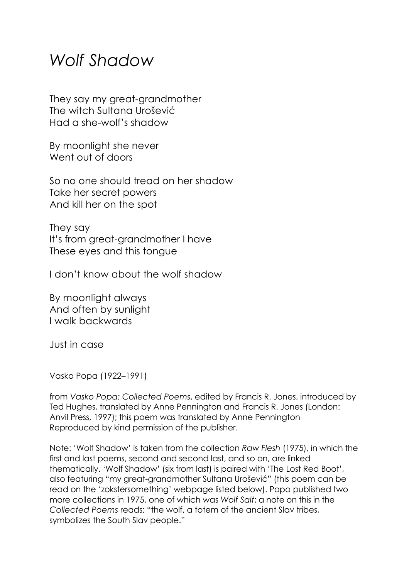#### *Wolf Shadow*

They say my great-grandmother The witch Sultana Urošević Had a she-wolf's shadow

By moonlight she never Went out of doors

So no one should tread on her shadow Take her secret powers And kill her on the spot

They say It's from great-grandmother I have These eyes and this tongue

I don't know about the wolf shadow

By moonlight always And often by sunlight I walk backwards

Just in case

Vasko Popa (1922–1991)

from *Vasko Popa: Collected Poems*, edited by Francis R. Jones, introduced by Ted Hughes, translated by Anne Pennington and Francis R. Jones (London: Anvil Press, 1997); this poem was translated by Anne Pennington Reproduced by kind permission of the publisher.

Note: 'Wolf Shadow' is taken from the collection *Raw Flesh* (1975), in which the first and last poems, second and second last, and so on, are linked thematically. 'Wolf Shadow' (six from last) is paired with 'The Lost Red Boot', also featuring "my great-grandmother Sultana Urošević" (this poem can be read on the 'zokstersomething' webpage listed below). Popa published two more collections in 1975, one of which was *Wolf Salt*; a note on this in the *Collected Poems* reads: "the wolf, a totem of the ancient Slav tribes, symbolizes the South Slav people."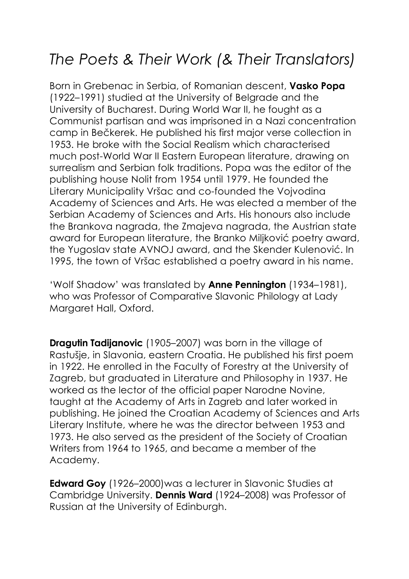#### *The Poets & Their Work (& Their Translators)*

Born in Grebenac in Serbia, of Romanian descent, **Vasko Popa** (1922–1991) studied at the University of Belgrade and the University of Bucharest. During World War II, he fought as a Communist partisan and was imprisoned in a Nazi concentration camp in Bečkerek. He published his first major verse collection in 1953. He broke with the Social Realism which characterised much post-World War II Eastern European literature, drawing on surrealism and Serbian folk traditions. Popa was the editor of the publishing house Nolit from 1954 until 1979. He founded the Literary Municipality Vršac and co-founded the Vojvodina Academy of Sciences and Arts. He was elected a member of the Serbian Academy of Sciences and Arts. His honours also include the Brankova nagrada, the Zmajeva nagrada, the Austrian state award for European literature, the Branko Miljković poetry award, the Yugoslav state AVNOJ award, and the Skender Kulenović. In 1995, the town of Vršac established a poetry award in his name.

'Wolf Shadow' was translated by **Anne Pennington** (1934–1981), who was Professor of Comparative Slavonic Philology at Lady Margaret Hall, Oxford.

**Dragutin Tadijanovic** (1905–2007) was born in the village of Rastušje, in Slavonia, eastern Croatia. He published his first poem in 1922. He enrolled in the Faculty of Forestry at the University of Zagreb, but graduated in Literature and Philosophy in 1937. He worked as the lector of the official paper Narodne Novine, taught at the Academy of Arts in Zagreb and later worked in publishing. He joined the Croatian Academy of Sciences and Arts Literary Institute, where he was the director between 1953 and 1973. He also served as the president of the Society of Croatian Writers from 1964 to 1965, and became a member of the Academy.

**Edward Goy** (1926–2000)was a lecturer in Slavonic Studies at Cambridge University. **Dennis Ward** (1924–2008) was Professor of Russian at the University of Edinburgh.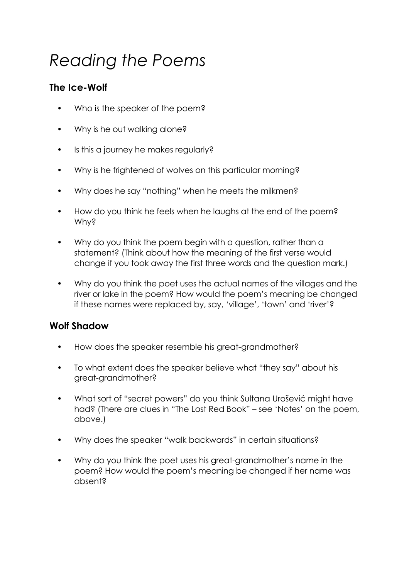# *Reading the Poems*

#### **The Ice-Wolf**

- Who is the speaker of the poem?
- Why is he out walking alone?
- Is this a journey he makes requiarly?
- Why is he frightened of wolves on this particular morning?
- Why does he say "nothing" when he meets the milkmen?
- How do you think he feels when he laughs at the end of the poem? Why?
- Why do you think the poem begin with a question, rather than a statement? (Think about how the meaning of the first verse would change if you took away the first three words and the question mark.)
- Why do you think the poet uses the actual names of the villages and the river or lake in the poem? How would the poem's meaning be changed if these names were replaced by, say, 'village', 'town' and 'river'?

#### **Wolf Shadow**

- How does the speaker resemble his great-grandmother?
- To what extent does the speaker believe what "they say" about his great-grandmother?
- What sort of "secret powers" do you think Sultana Urošević might have had? (There are clues in "The Lost Red Book" – see 'Notes' on the poem, above.)
- Why does the speaker "walk backwards" in certain situations?
- Why do you think the poet uses his great-grandmother's name in the poem? How would the poem's meaning be changed if her name was absent?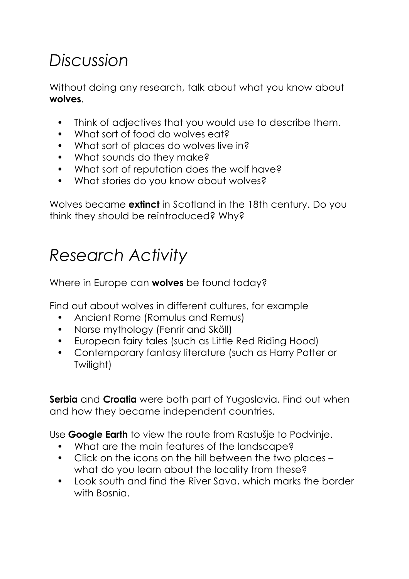## *Discussion*

Without doing any research, talk about what you know about **wolves**.

- Think of adjectives that you would use to describe them.
- What sort of food do wolves eat?
- What sort of places do wolves live in?
- What sounds do they make?
- What sort of reputation does the wolf have?
- What stories do you know about wolves?

Wolves became **extinct** in Scotland in the 18th century. Do you think they should be reintroduced? Why?

#### *Research Activity*

Where in Europe can **wolves** be found today?

Find out about wolves in different cultures, for example

- Ancient Rome (Romulus and Remus)
- Norse mythology (Fenrir and Sköll)
- European fairy tales (such as Little Red Riding Hood)
- Contemporary fantasy literature (such as Harry Potter or Twilight)

**Serbia** and **Croatia** were both part of Yugoslavia. Find out when and how they became independent countries.

Use **Google Earth** to view the route from Rastušje to Podvinje.

- What are the main features of the landscape?
- Click on the icons on the hill between the two places what do you learn about the locality from these?
- Look south and find the River Sava, which marks the border with Bosnia.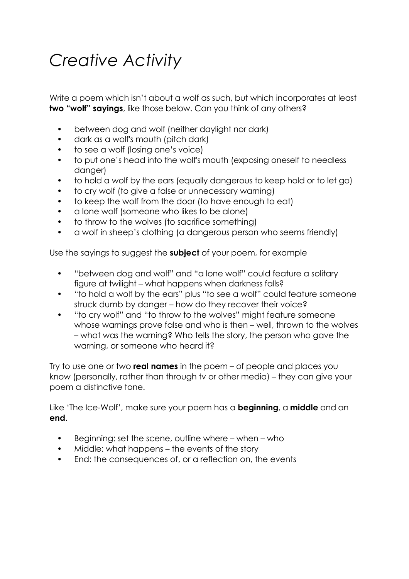## *Creative Activity*

Write a poem which isn't about a wolf as such, but which incorporates at least **two "wolf" sayings**, like those below. Can you think of any others?

- between dog and wolf (neither daylight nor dark)
- dark as a wolf's mouth (pitch dark)
- to see a wolf (losing one's voice)
- to put one's head into the wolf's mouth (exposing oneself to needless danger)
- to hold a wolf by the ears (equally dangerous to keep hold or to let go)
- to cry wolf (to give a false or unnecessary warning)
- to keep the wolf from the door (to have enough to eat)
- a lone wolf (someone who likes to be alone)
- to throw to the wolves (to sacrifice something)
- a wolf in sheep's clothing (a dangerous person who seems friendly)

Use the sayings to suggest the **subject** of your poem, for example

- "between dog and wolf" and "a lone wolf" could feature a solitary figure at twilight – what happens when darkness falls?
- "to hold a wolf by the ears" plus "to see a wolf" could feature someone struck dumb by danger – how do they recover their voice?
- "to cry wolf" and "to throw to the wolves" might feature someone whose warnings prove false and who is then – well, thrown to the wolves – what was the warning? Who tells the story, the person who gave the warning, or someone who heard it?

Try to use one or two **real names** in the poem – of people and places you know (personally, rather than through tv or other media) – they can give your poem a distinctive tone.

Like 'The Ice-Wolf', make sure your poem has a **beginning**, a **middle** and an **end**.

- Beginning: set the scene, outline where when who
- Middle: what happens the events of the story
- End: the consequences of, or a reflection on, the events